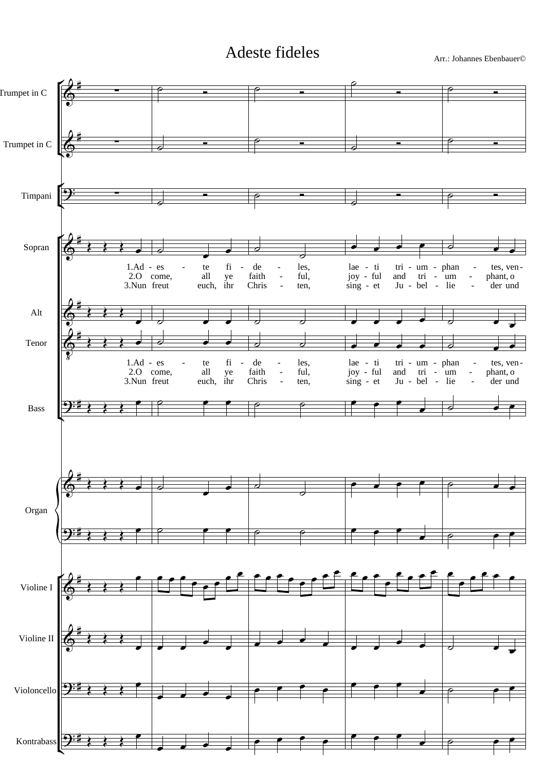## Adeste fideles Arr.: Johannes Ebenbauer©

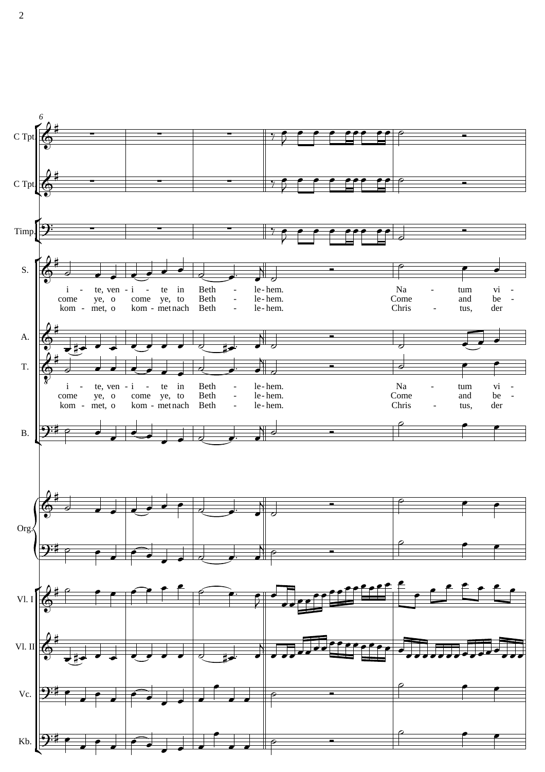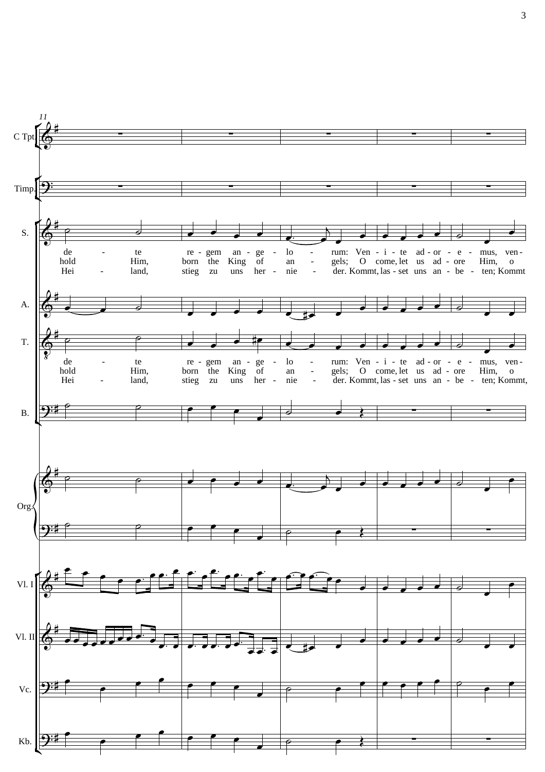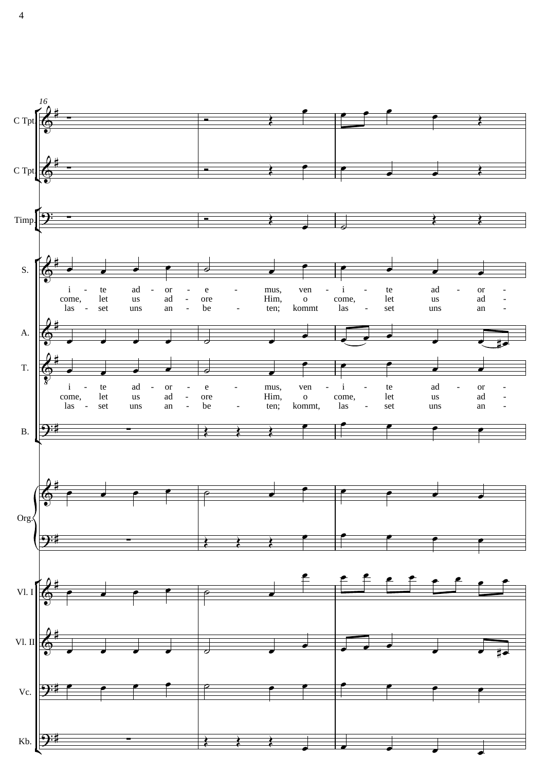